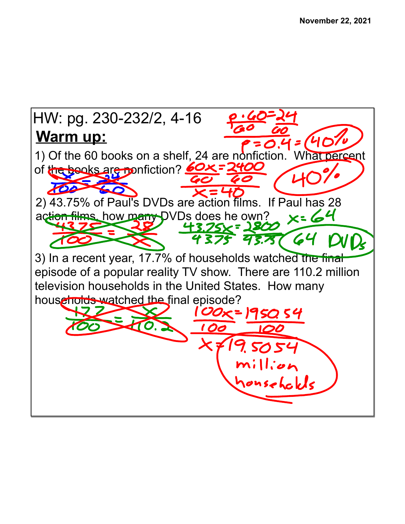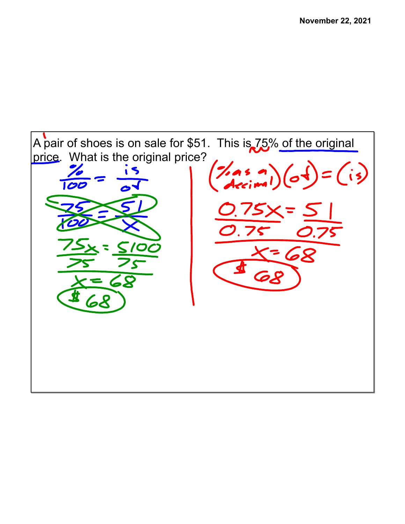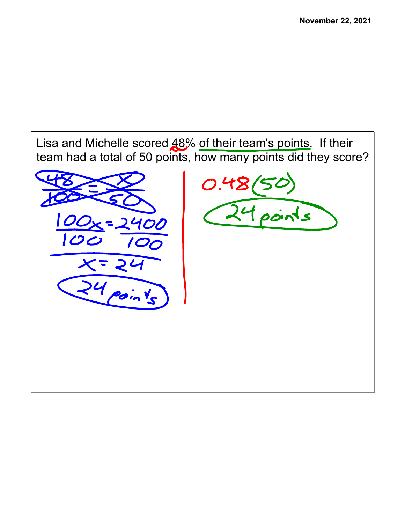



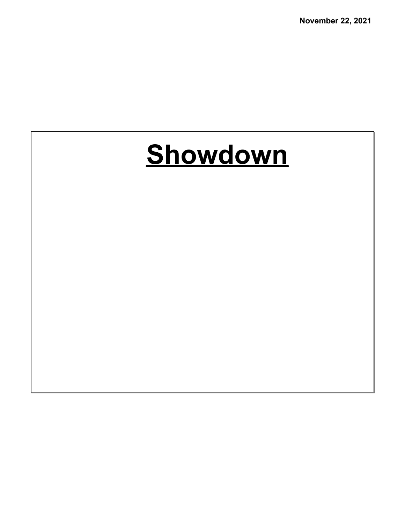**November 22, 2021**

## **Showdown**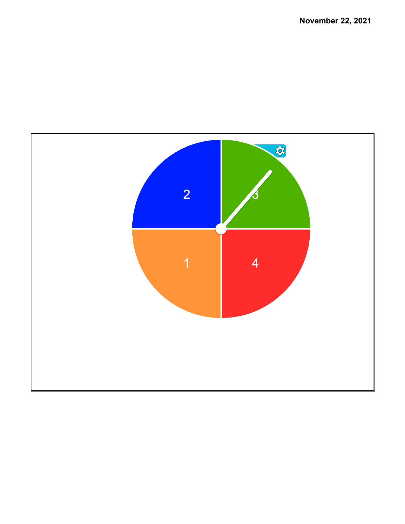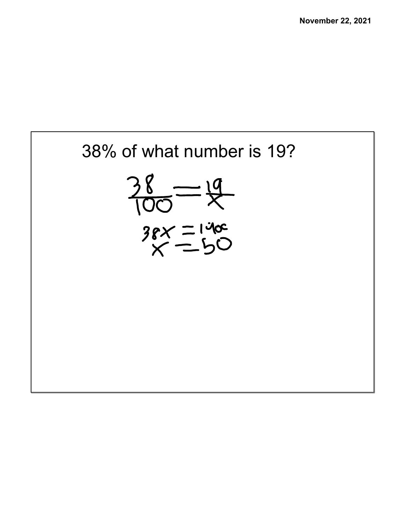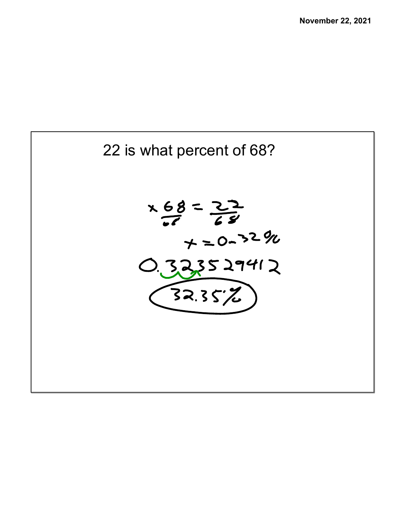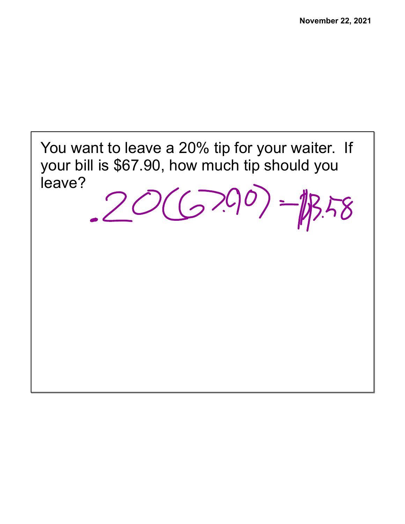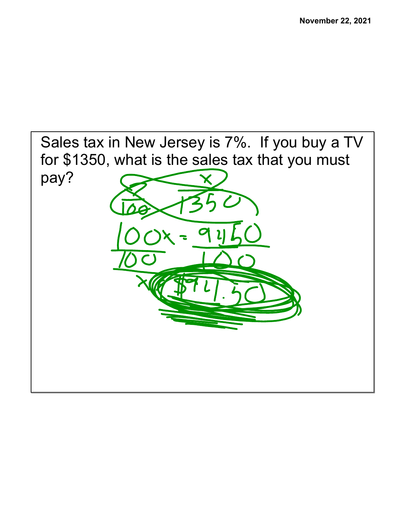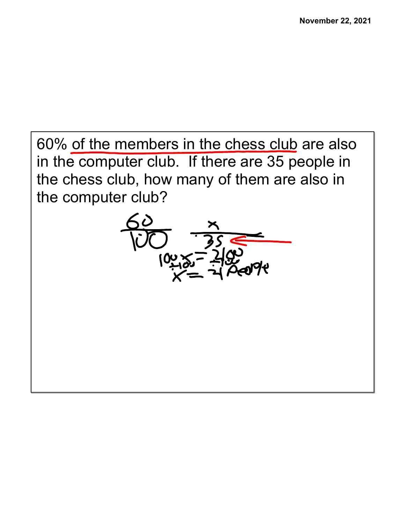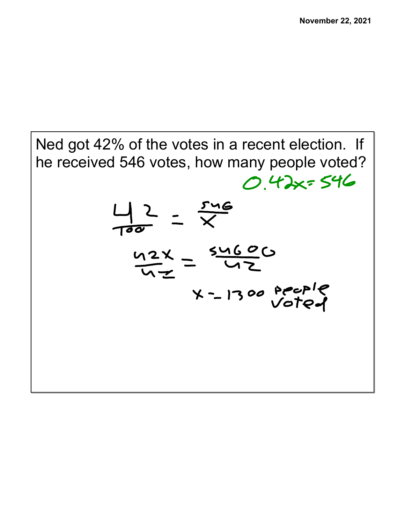